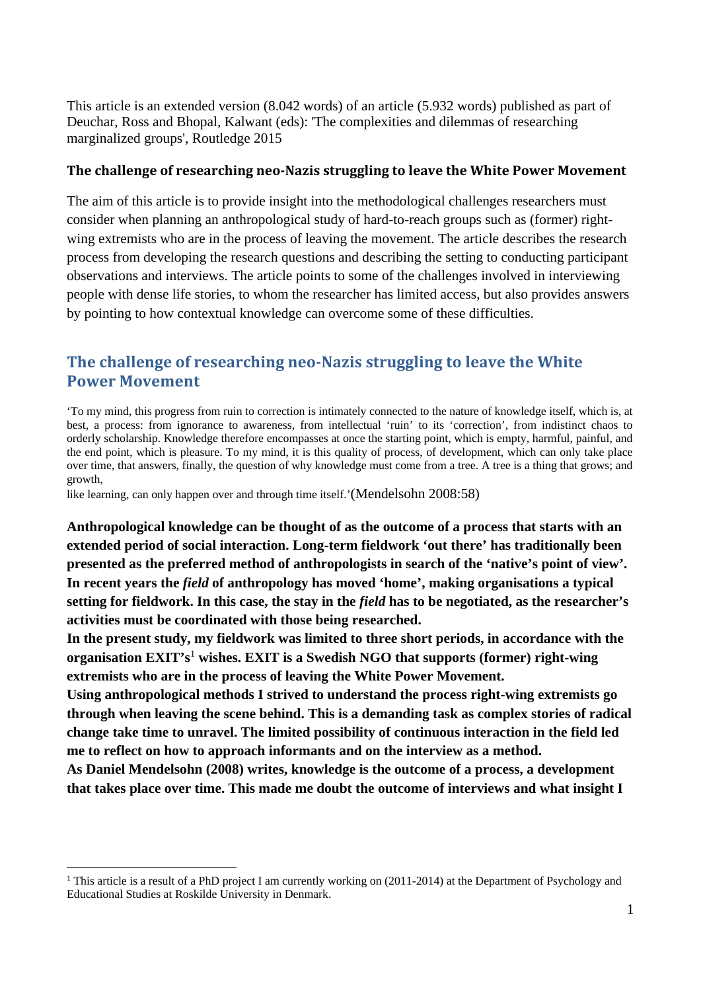This article is an extended version (8.042 words) of an article (5.932 words) published as part of Deuchar, Ross and Bhopal, Kalwant (eds): 'The complexities and dilemmas of researching marginalized groups', Routledge 2015

#### **The challenge of researching neo‐Nazis struggling to leave the White Power Movement**

The aim of this article is to provide insight into the methodological challenges researchers must consider when planning an anthropological study of hard-to-reach groups such as (former) rightwing extremists who are in the process of leaving the movement. The article describes the research process from developing the research questions and describing the setting to conducting participant observations and interviews. The article points to some of the challenges involved in interviewing people with dense life stories, to whom the researcher has limited access, but also provides answers by pointing to how contextual knowledge can overcome some of these difficulties.

# **The challenge of researching neo‐Nazis struggling to leave the White Power Movement**

'To my mind, this progress from ruin to correction is intimately connected to the nature of knowledge itself, which is, at best, a process: from ignorance to awareness, from intellectual 'ruin' to its 'correction', from indistinct chaos to orderly scholarship. Knowledge therefore encompasses at once the starting point, which is empty, harmful, painful, and the end point, which is pleasure. To my mind, it is this quality of process, of development, which can only take place over time, that answers, finally, the question of why knowledge must come from a tree. A tree is a thing that grows; and growth,

like learning, can only happen over and through time itself.' (Mendelsohn 2008:58)

**Anthropological knowledge can be thought of as the outcome of a process that starts with an extended period of social interaction. Long-term fieldwork 'out there' has traditionally been presented as the preferred method of anthropologists in search of the 'native's point of view'. In recent years the** *field* **of anthropology has moved 'home', making organisations a typical setting for fieldwork. In this case, the stay in the** *field* **has to be negotiated, as the researcher's activities must be coordinated with those being researched.** 

**In the present study, my fieldwork was limited to three short periods, in accordance with the organisation EXIT's**<sup>1</sup> **wishes. EXIT is a Swedish NGO that supports (former) right-wing extremists who are in the process of leaving the White Power Movement.** 

**Using anthropological methods I strived to understand the process right-wing extremists go through when leaving the scene behind. This is a demanding task as complex stories of radical change take time to unravel. The limited possibility of continuous interaction in the field led me to reflect on how to approach informants and on the interview as a method.** 

**As Daniel Mendelsohn (2008) writes, knowledge is the outcome of a process, a development that takes place over time. This made me doubt the outcome of interviews and what insight I** 

<sup>&</sup>lt;sup>1</sup> This article is a result of a PhD project I am currently working on (2011-2014) at the Department of Psychology and Educational Studies at Roskilde University in Denmark.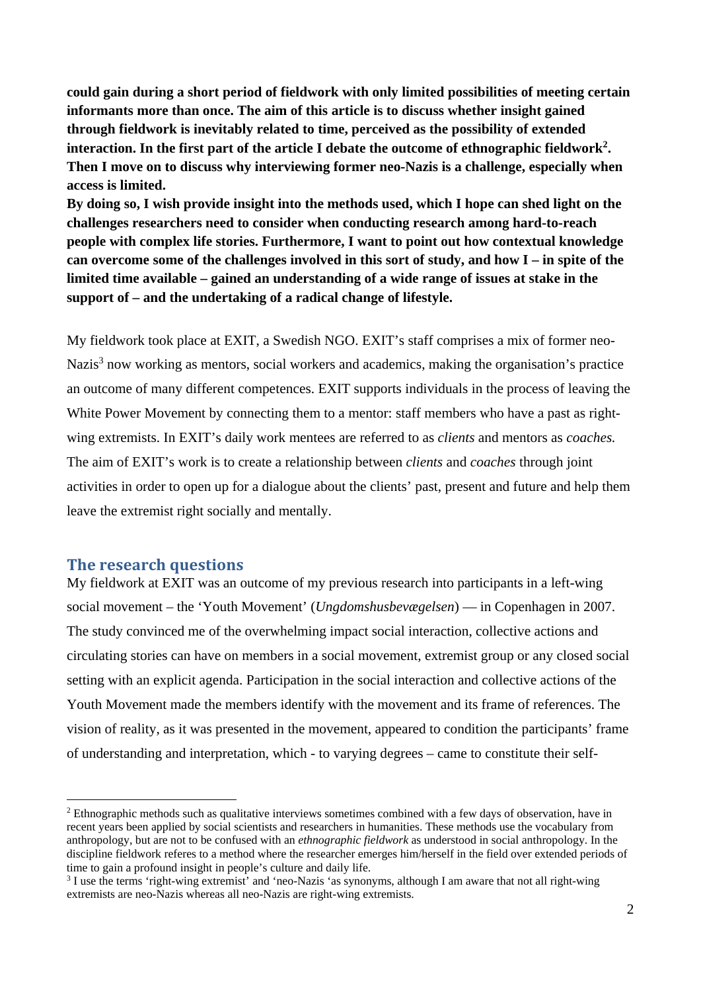**could gain during a short period of fieldwork with only limited possibilities of meeting certain informants more than once. The aim of this article is to discuss whether insight gained through fieldwork is inevitably related to time, perceived as the possibility of extended interaction. In the first part of the article I debate the outcome of ethnographic fieldwork2. Then I move on to discuss why interviewing former neo-Nazis is a challenge, especially when access is limited.** 

**By doing so, I wish provide insight into the methods used, which I hope can shed light on the challenges researchers need to consider when conducting research among hard-to-reach people with complex life stories. Furthermore, I want to point out how contextual knowledge can overcome some of the challenges involved in this sort of study, and how I – in spite of the limited time available – gained an understanding of a wide range of issues at stake in the support of – and the undertaking of a radical change of lifestyle.** 

My fieldwork took place at EXIT, a Swedish NGO. EXIT's staff comprises a mix of former neo-Nazis<sup>3</sup> now working as mentors, social workers and academics, making the organisation's practice an outcome of many different competences. EXIT supports individuals in the process of leaving the White Power Movement by connecting them to a mentor: staff members who have a past as rightwing extremists. In EXIT's daily work mentees are referred to as *clients* and mentors as *coaches.*  The aim of EXIT's work is to create a relationship between *clients* and *coaches* through joint activities in order to open up for a dialogue about the clients' past, present and future and help them leave the extremist right socially and mentally.

#### **The research questions**

My fieldwork at EXIT was an outcome of my previous research into participants in a left-wing social movement – the 'Youth Movement' (*Ungdomshusbevægelsen*) — in Copenhagen in 2007. The study convinced me of the overwhelming impact social interaction, collective actions and circulating stories can have on members in a social movement, extremist group or any closed social setting with an explicit agenda. Participation in the social interaction and collective actions of the Youth Movement made the members identify with the movement and its frame of references. The vision of reality, as it was presented in the movement, appeared to condition the participants' frame of understanding and interpretation, which - to varying degrees – came to constitute their self-

<sup>&</sup>lt;sup>2</sup> Ethnographic methods such as qualitative interviews sometimes combined with a few days of observation, have in recent years been applied by social scientists and researchers in humanities. These methods use the vocabulary from anthropology, but are not to be confused with an *ethnographic fieldwork* as understood in social anthropology. In the discipline fieldwork referes to a method where the researcher emerges him/herself in the field over extended periods of time to gain a profound insight in people's culture and daily life.

<sup>&</sup>lt;sup>3</sup> I use the terms 'right-wing extremist' and 'neo-Nazis 'as synonyms, although I am aware that not all right-wing extremists are neo-Nazis whereas all neo-Nazis are right-wing extremists.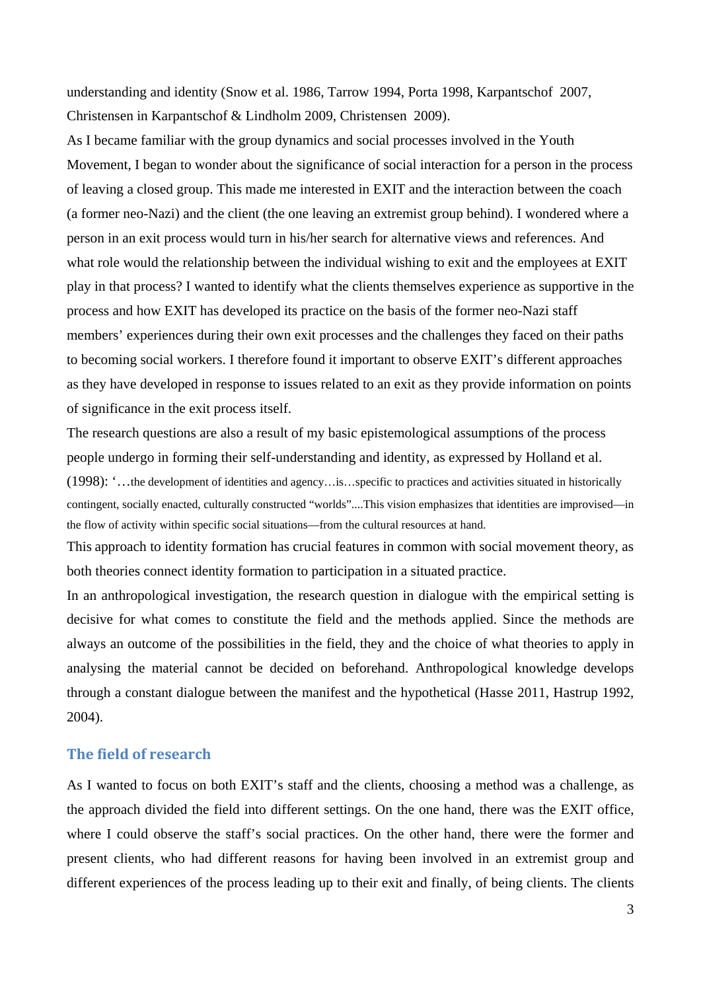understanding and identity (Snow et al. 1986, Tarrow 1994, Porta 1998, Karpantschof 2007, Christensen in Karpantschof & Lindholm 2009, Christensen 2009).

As I became familiar with the group dynamics and social processes involved in the Youth Movement, I began to wonder about the significance of social interaction for a person in the process of leaving a closed group. This made me interested in EXIT and the interaction between the coach (a former neo-Nazi) and the client (the one leaving an extremist group behind). I wondered where a person in an exit process would turn in his/her search for alternative views and references. And what role would the relationship between the individual wishing to exit and the employees at EXIT play in that process? I wanted to identify what the clients themselves experience as supportive in the process and how EXIT has developed its practice on the basis of the former neo-Nazi staff members' experiences during their own exit processes and the challenges they faced on their paths to becoming social workers. I therefore found it important to observe EXIT's different approaches as they have developed in response to issues related to an exit as they provide information on points of significance in the exit process itself.

The research questions are also a result of my basic epistemological assumptions of the process people undergo in forming their self-understanding and identity, as expressed by Holland et al.

(1998): '…the development of identities and agency…is…specific to practices and activities situated in historically contingent, socially enacted, culturally constructed "worlds"....This vision emphasizes that identities are improvised—in the flow of activity within specific social situations—from the cultural resources at hand.

This approach to identity formation has crucial features in common with social movement theory, as both theories connect identity formation to participation in a situated practice.

In an anthropological investigation, the research question in dialogue with the empirical setting is decisive for what comes to constitute the field and the methods applied. Since the methods are always an outcome of the possibilities in the field, they and the choice of what theories to apply in analysing the material cannot be decided on beforehand. Anthropological knowledge develops through a constant dialogue between the manifest and the hypothetical (Hasse 2011, Hastrup 1992, 2004).

## **The field of research**

As I wanted to focus on both EXIT's staff and the clients, choosing a method was a challenge, as the approach divided the field into different settings. On the one hand, there was the EXIT office, where I could observe the staff's social practices. On the other hand, there were the former and present clients, who had different reasons for having been involved in an extremist group and different experiences of the process leading up to their exit and finally, of being clients. The clients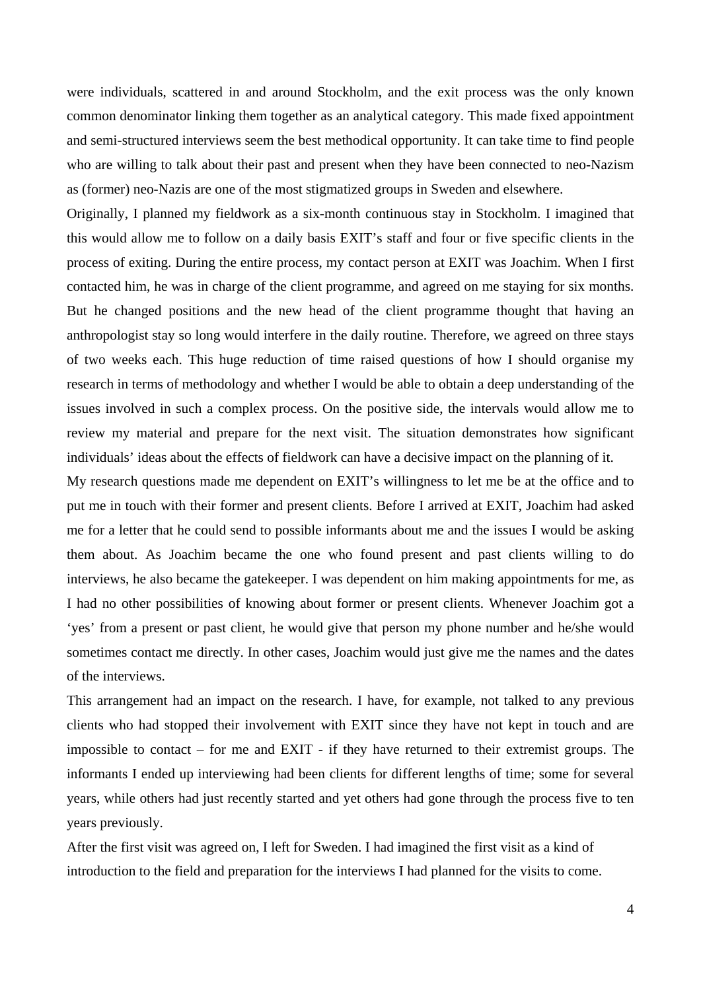were individuals, scattered in and around Stockholm, and the exit process was the only known common denominator linking them together as an analytical category. This made fixed appointment and semi-structured interviews seem the best methodical opportunity. It can take time to find people who are willing to talk about their past and present when they have been connected to neo-Nazism as (former) neo-Nazis are one of the most stigmatized groups in Sweden and elsewhere.

Originally, I planned my fieldwork as a six-month continuous stay in Stockholm. I imagined that this would allow me to follow on a daily basis EXIT's staff and four or five specific clients in the process of exiting. During the entire process, my contact person at EXIT was Joachim. When I first contacted him, he was in charge of the client programme, and agreed on me staying for six months. But he changed positions and the new head of the client programme thought that having an anthropologist stay so long would interfere in the daily routine. Therefore, we agreed on three stays of two weeks each. This huge reduction of time raised questions of how I should organise my research in terms of methodology and whether I would be able to obtain a deep understanding of the issues involved in such a complex process. On the positive side, the intervals would allow me to review my material and prepare for the next visit. The situation demonstrates how significant individuals' ideas about the effects of fieldwork can have a decisive impact on the planning of it.

My research questions made me dependent on EXIT's willingness to let me be at the office and to put me in touch with their former and present clients. Before I arrived at EXIT, Joachim had asked me for a letter that he could send to possible informants about me and the issues I would be asking them about. As Joachim became the one who found present and past clients willing to do interviews, he also became the gatekeeper. I was dependent on him making appointments for me, as I had no other possibilities of knowing about former or present clients. Whenever Joachim got a 'yes' from a present or past client, he would give that person my phone number and he/she would sometimes contact me directly. In other cases, Joachim would just give me the names and the dates of the interviews.

This arrangement had an impact on the research. I have, for example, not talked to any previous clients who had stopped their involvement with EXIT since they have not kept in touch and are impossible to contact – for me and EXIT - if they have returned to their extremist groups. The informants I ended up interviewing had been clients for different lengths of time; some for several years, while others had just recently started and yet others had gone through the process five to ten years previously.

After the first visit was agreed on, I left for Sweden. I had imagined the first visit as a kind of introduction to the field and preparation for the interviews I had planned for the visits to come.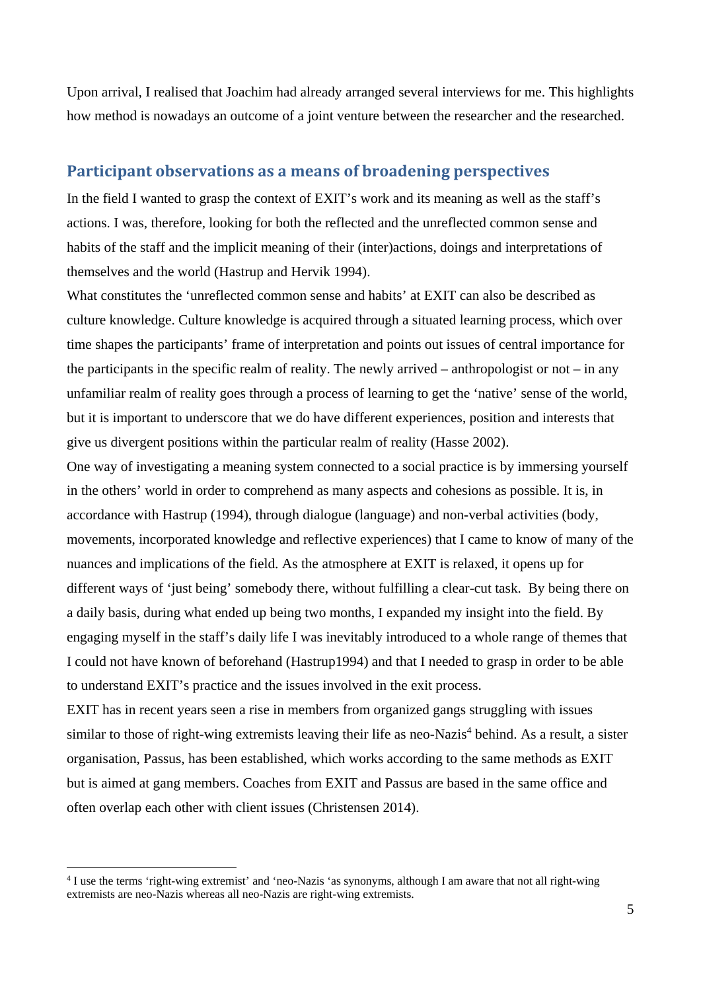Upon arrival, I realised that Joachim had already arranged several interviews for me. This highlights how method is nowadays an outcome of a joint venture between the researcher and the researched.

#### **Participant observations as a means of broadening perspectives**

In the field I wanted to grasp the context of EXIT's work and its meaning as well as the staff's actions. I was, therefore, looking for both the reflected and the unreflected common sense and habits of the staff and the implicit meaning of their (inter)actions, doings and interpretations of themselves and the world (Hastrup and Hervik 1994).

What constitutes the 'unreflected common sense and habits' at EXIT can also be described as culture knowledge. Culture knowledge is acquired through a situated learning process, which over time shapes the participants' frame of interpretation and points out issues of central importance for the participants in the specific realm of reality. The newly arrived – anthropologist or not – in any unfamiliar realm of reality goes through a process of learning to get the 'native' sense of the world, but it is important to underscore that we do have different experiences, position and interests that give us divergent positions within the particular realm of reality (Hasse 2002).

One way of investigating a meaning system connected to a social practice is by immersing yourself in the others' world in order to comprehend as many aspects and cohesions as possible. It is, in accordance with Hastrup (1994), through dialogue (language) and non-verbal activities (body, movements, incorporated knowledge and reflective experiences) that I came to know of many of the nuances and implications of the field. As the atmosphere at EXIT is relaxed, it opens up for different ways of 'just being' somebody there, without fulfilling a clear-cut task. By being there on a daily basis, during what ended up being two months, I expanded my insight into the field. By engaging myself in the staff's daily life I was inevitably introduced to a whole range of themes that I could not have known of beforehand (Hastrup1994) and that I needed to grasp in order to be able to understand EXIT's practice and the issues involved in the exit process.

EXIT has in recent years seen a rise in members from organized gangs struggling with issues similar to those of right-wing extremists leaving their life as neo-Nazis<sup>4</sup> behind. As a result, a sister organisation, Passus, has been established, which works according to the same methods as EXIT but is aimed at gang members. Coaches from EXIT and Passus are based in the same office and often overlap each other with client issues (Christensen 2014).

 $\overline{a}$ 

<sup>&</sup>lt;sup>4</sup> I use the terms 'right-wing extremist' and 'neo-Nazis 'as synonyms, although I am aware that not all right-wing extremists are neo-Nazis whereas all neo-Nazis are right-wing extremists.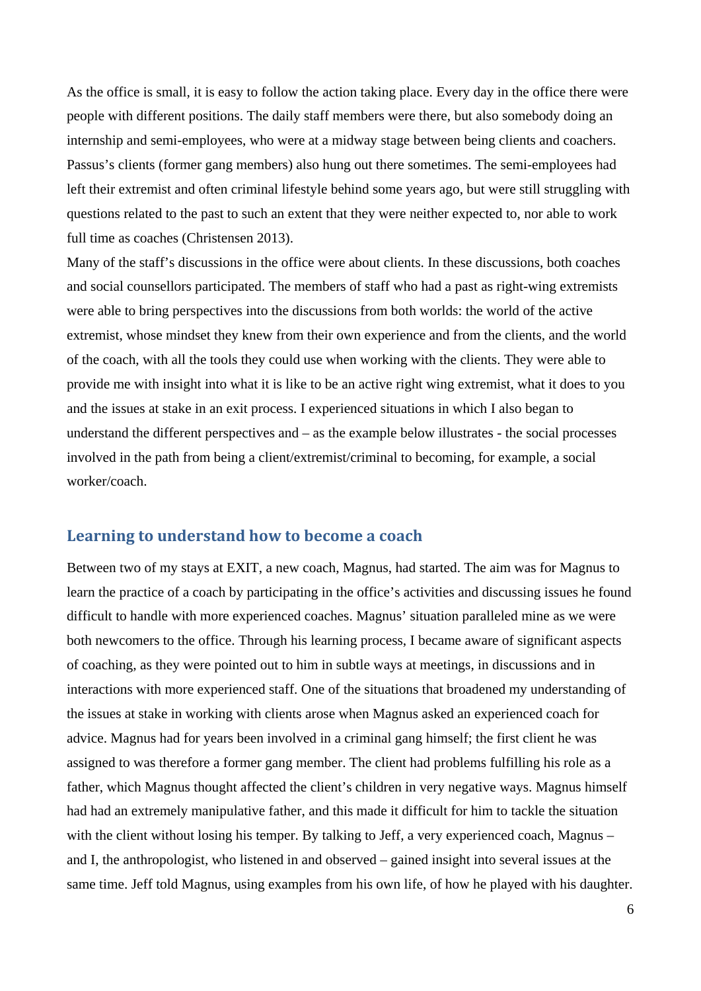As the office is small, it is easy to follow the action taking place. Every day in the office there were people with different positions. The daily staff members were there, but also somebody doing an internship and semi-employees, who were at a midway stage between being clients and coachers. Passus's clients (former gang members) also hung out there sometimes. The semi-employees had left their extremist and often criminal lifestyle behind some years ago, but were still struggling with questions related to the past to such an extent that they were neither expected to, nor able to work full time as coaches (Christensen 2013).

Many of the staff's discussions in the office were about clients. In these discussions, both coaches and social counsellors participated. The members of staff who had a past as right-wing extremists were able to bring perspectives into the discussions from both worlds: the world of the active extremist, whose mindset they knew from their own experience and from the clients, and the world of the coach, with all the tools they could use when working with the clients. They were able to provide me with insight into what it is like to be an active right wing extremist, what it does to you and the issues at stake in an exit process. I experienced situations in which I also began to understand the different perspectives and – as the example below illustrates - the social processes involved in the path from being a client/extremist/criminal to becoming, for example, a social worker/coach.

# **Learning to understand how to become a coach**

Between two of my stays at EXIT, a new coach, Magnus, had started. The aim was for Magnus to learn the practice of a coach by participating in the office's activities and discussing issues he found difficult to handle with more experienced coaches. Magnus' situation paralleled mine as we were both newcomers to the office. Through his learning process, I became aware of significant aspects of coaching, as they were pointed out to him in subtle ways at meetings, in discussions and in interactions with more experienced staff. One of the situations that broadened my understanding of the issues at stake in working with clients arose when Magnus asked an experienced coach for advice. Magnus had for years been involved in a criminal gang himself; the first client he was assigned to was therefore a former gang member. The client had problems fulfilling his role as a father, which Magnus thought affected the client's children in very negative ways. Magnus himself had had an extremely manipulative father, and this made it difficult for him to tackle the situation with the client without losing his temper. By talking to Jeff, a very experienced coach, Magnus – and I, the anthropologist, who listened in and observed – gained insight into several issues at the same time. Jeff told Magnus, using examples from his own life, of how he played with his daughter.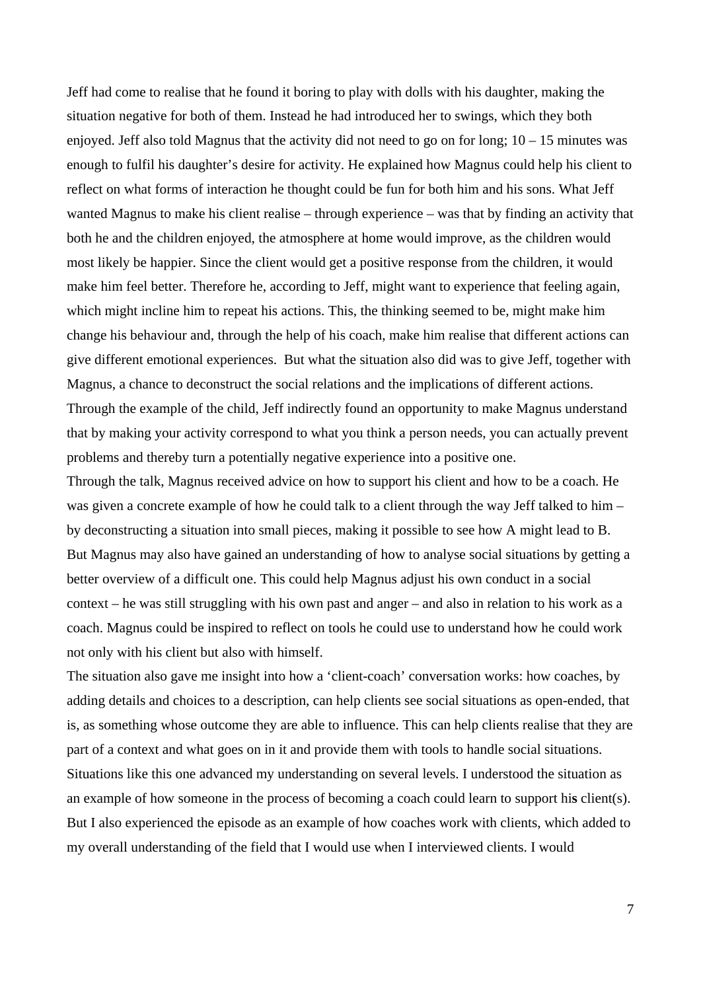Jeff had come to realise that he found it boring to play with dolls with his daughter, making the situation negative for both of them. Instead he had introduced her to swings, which they both enjoyed. Jeff also told Magnus that the activity did not need to go on for long; 10 – 15 minutes was enough to fulfil his daughter's desire for activity. He explained how Magnus could help his client to reflect on what forms of interaction he thought could be fun for both him and his sons. What Jeff wanted Magnus to make his client realise – through experience – was that by finding an activity that both he and the children enjoyed, the atmosphere at home would improve, as the children would most likely be happier. Since the client would get a positive response from the children, it would make him feel better. Therefore he, according to Jeff, might want to experience that feeling again, which might incline him to repeat his actions. This, the thinking seemed to be, might make him change his behaviour and, through the help of his coach, make him realise that different actions can give different emotional experiences. But what the situation also did was to give Jeff, together with Magnus, a chance to deconstruct the social relations and the implications of different actions. Through the example of the child, Jeff indirectly found an opportunity to make Magnus understand that by making your activity correspond to what you think a person needs, you can actually prevent problems and thereby turn a potentially negative experience into a positive one.

Through the talk, Magnus received advice on how to support his client and how to be a coach. He was given a concrete example of how he could talk to a client through the way Jeff talked to him – by deconstructing a situation into small pieces, making it possible to see how A might lead to B. But Magnus may also have gained an understanding of how to analyse social situations by getting a better overview of a difficult one. This could help Magnus adjust his own conduct in a social context – he was still struggling with his own past and anger – and also in relation to his work as a coach. Magnus could be inspired to reflect on tools he could use to understand how he could work not only with his client but also with himself.

The situation also gave me insight into how a 'client-coach' conversation works: how coaches, by adding details and choices to a description, can help clients see social situations as open-ended, that is, as something whose outcome they are able to influence. This can help clients realise that they are part of a context and what goes on in it and provide them with tools to handle social situations. Situations like this one advanced my understanding on several levels. I understood the situation as an example of how someone in the process of becoming a coach could learn to support hi**s** client(s). But I also experienced the episode as an example of how coaches work with clients, which added to my overall understanding of the field that I would use when I interviewed clients. I would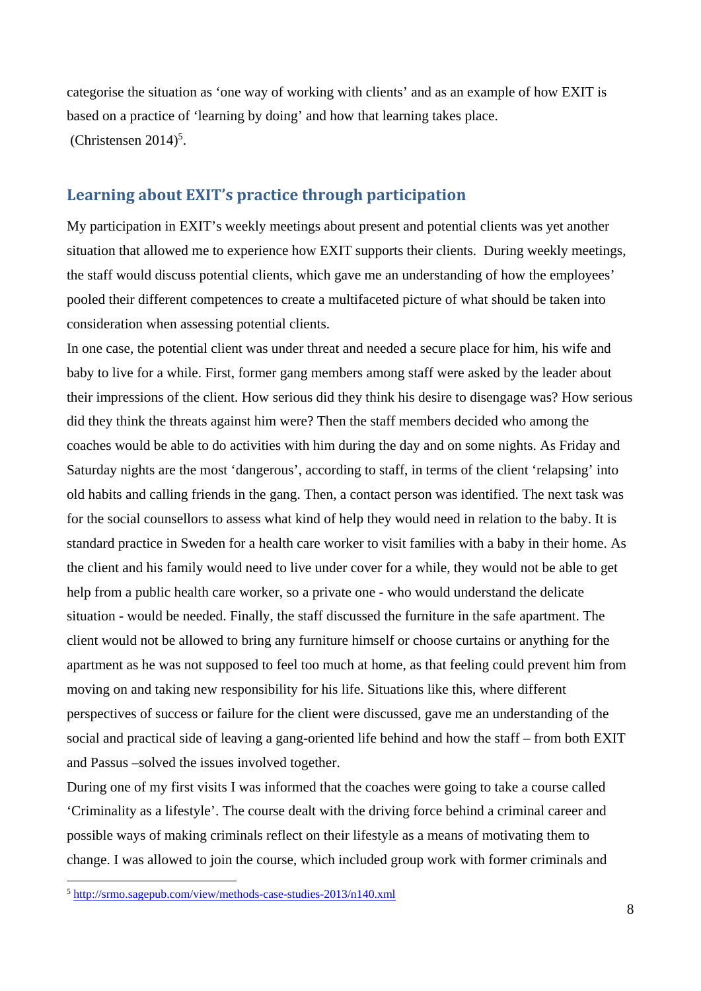categorise the situation as 'one way of working with clients' and as an example of how EXIT is based on a practice of 'learning by doing' and how that learning takes place.  $(Christensen 2014)<sup>5</sup>.$ 

# **Learning about EXIT's practice through participation**

My participation in EXIT's weekly meetings about present and potential clients was yet another situation that allowed me to experience how EXIT supports their clients. During weekly meetings, the staff would discuss potential clients, which gave me an understanding of how the employees' pooled their different competences to create a multifaceted picture of what should be taken into consideration when assessing potential clients.

In one case, the potential client was under threat and needed a secure place for him, his wife and baby to live for a while. First, former gang members among staff were asked by the leader about their impressions of the client. How serious did they think his desire to disengage was? How serious did they think the threats against him were? Then the staff members decided who among the coaches would be able to do activities with him during the day and on some nights. As Friday and Saturday nights are the most 'dangerous', according to staff, in terms of the client 'relapsing' into old habits and calling friends in the gang. Then, a contact person was identified. The next task was for the social counsellors to assess what kind of help they would need in relation to the baby. It is standard practice in Sweden for a health care worker to visit families with a baby in their home. As the client and his family would need to live under cover for a while, they would not be able to get help from a public health care worker, so a private one - who would understand the delicate situation - would be needed. Finally, the staff discussed the furniture in the safe apartment. The client would not be allowed to bring any furniture himself or choose curtains or anything for the apartment as he was not supposed to feel too much at home, as that feeling could prevent him from moving on and taking new responsibility for his life. Situations like this, where different perspectives of success or failure for the client were discussed, gave me an understanding of the social and practical side of leaving a gang-oriented life behind and how the staff – from both EXIT and Passus –solved the issues involved together.

During one of my first visits I was informed that the coaches were going to take a course called 'Criminality as a lifestyle'. The course dealt with the driving force behind a criminal career and possible ways of making criminals reflect on their lifestyle as a means of motivating them to change. I was allowed to join the course, which included group work with former criminals and

 $\overline{a}$ 

<sup>5</sup> http://srmo.sagepub.com/view/methods-case-studies-2013/n140.xml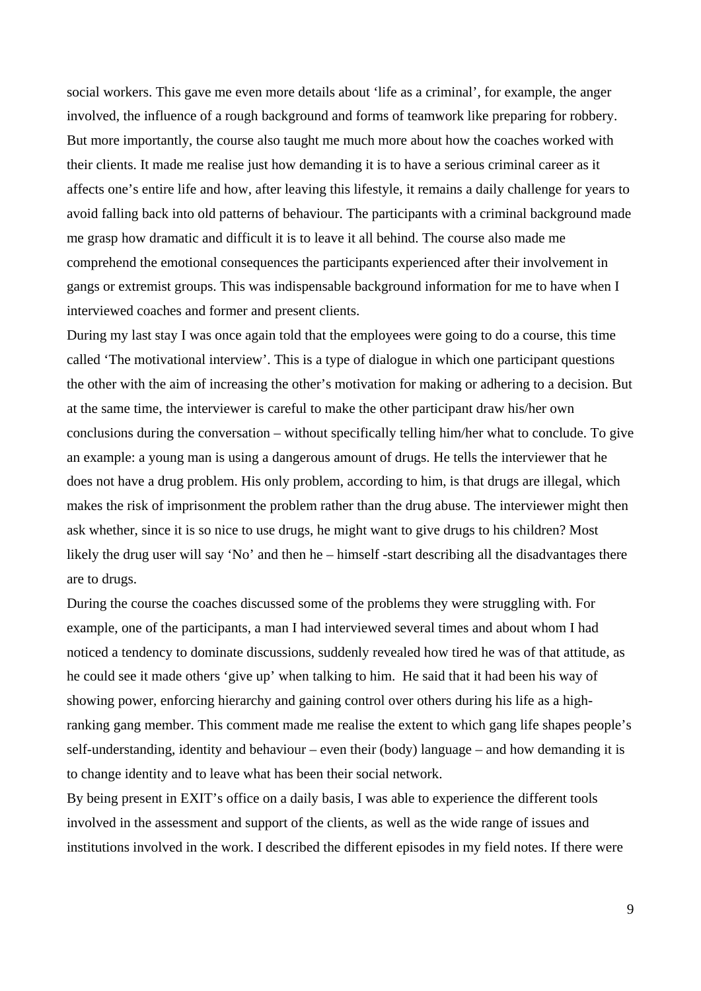social workers. This gave me even more details about 'life as a criminal', for example, the anger involved, the influence of a rough background and forms of teamwork like preparing for robbery. But more importantly, the course also taught me much more about how the coaches worked with their clients. It made me realise just how demanding it is to have a serious criminal career as it affects one's entire life and how, after leaving this lifestyle, it remains a daily challenge for years to avoid falling back into old patterns of behaviour. The participants with a criminal background made me grasp how dramatic and difficult it is to leave it all behind. The course also made me comprehend the emotional consequences the participants experienced after their involvement in gangs or extremist groups. This was indispensable background information for me to have when I interviewed coaches and former and present clients.

During my last stay I was once again told that the employees were going to do a course, this time called 'The motivational interview'. This is a type of dialogue in which one participant questions the other with the aim of increasing the other's motivation for making or adhering to a decision. But at the same time, the interviewer is careful to make the other participant draw his/her own conclusions during the conversation – without specifically telling him/her what to conclude. To give an example: a young man is using a dangerous amount of drugs. He tells the interviewer that he does not have a drug problem. His only problem, according to him, is that drugs are illegal, which makes the risk of imprisonment the problem rather than the drug abuse. The interviewer might then ask whether, since it is so nice to use drugs, he might want to give drugs to his children? Most likely the drug user will say 'No' and then he – himself -start describing all the disadvantages there are to drugs.

During the course the coaches discussed some of the problems they were struggling with. For example, one of the participants, a man I had interviewed several times and about whom I had noticed a tendency to dominate discussions, suddenly revealed how tired he was of that attitude, as he could see it made others 'give up' when talking to him. He said that it had been his way of showing power, enforcing hierarchy and gaining control over others during his life as a highranking gang member. This comment made me realise the extent to which gang life shapes people's self-understanding, identity and behaviour – even their (body) language – and how demanding it is to change identity and to leave what has been their social network.

By being present in EXIT's office on a daily basis, I was able to experience the different tools involved in the assessment and support of the clients, as well as the wide range of issues and institutions involved in the work. I described the different episodes in my field notes. If there were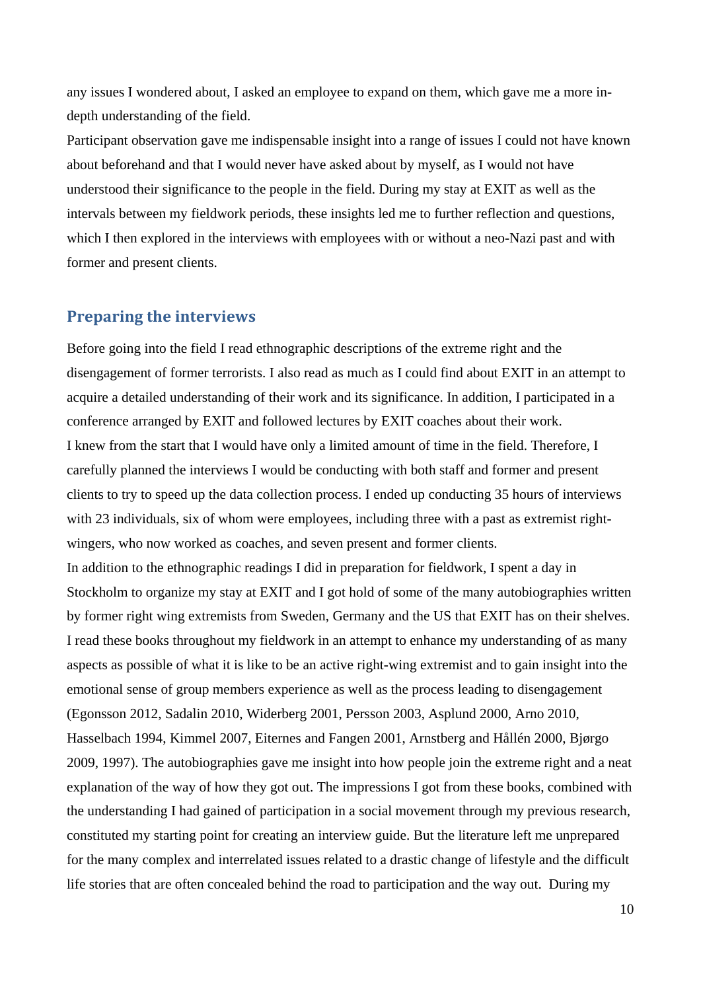any issues I wondered about, I asked an employee to expand on them, which gave me a more indepth understanding of the field.

Participant observation gave me indispensable insight into a range of issues I could not have known about beforehand and that I would never have asked about by myself, as I would not have understood their significance to the people in the field. During my stay at EXIT as well as the intervals between my fieldwork periods, these insights led me to further reflection and questions, which I then explored in the interviews with employees with or without a neo-Nazi past and with former and present clients.

## **Preparing the interviews**

Before going into the field I read ethnographic descriptions of the extreme right and the disengagement of former terrorists. I also read as much as I could find about EXIT in an attempt to acquire a detailed understanding of their work and its significance. In addition, I participated in a conference arranged by EXIT and followed lectures by EXIT coaches about their work. I knew from the start that I would have only a limited amount of time in the field. Therefore, I carefully planned the interviews I would be conducting with both staff and former and present clients to try to speed up the data collection process. I ended up conducting 35 hours of interviews with 23 individuals, six of whom were employees, including three with a past as extremist rightwingers, who now worked as coaches, and seven present and former clients.

In addition to the ethnographic readings I did in preparation for fieldwork, I spent a day in Stockholm to organize my stay at EXIT and I got hold of some of the many autobiographies written by former right wing extremists from Sweden, Germany and the US that EXIT has on their shelves. I read these books throughout my fieldwork in an attempt to enhance my understanding of as many aspects as possible of what it is like to be an active right-wing extremist and to gain insight into the emotional sense of group members experience as well as the process leading to disengagement (Egonsson 2012, Sadalin 2010, Widerberg 2001, Persson 2003, Asplund 2000, Arno 2010, Hasselbach 1994, Kimmel 2007, Eiternes and Fangen 2001, Arnstberg and Hållén 2000, Bjørgo 2009, 1997). The autobiographies gave me insight into how people join the extreme right and a neat explanation of the way of how they got out. The impressions I got from these books, combined with the understanding I had gained of participation in a social movement through my previous research, constituted my starting point for creating an interview guide. But the literature left me unprepared for the many complex and interrelated issues related to a drastic change of lifestyle and the difficult life stories that are often concealed behind the road to participation and the way out. During my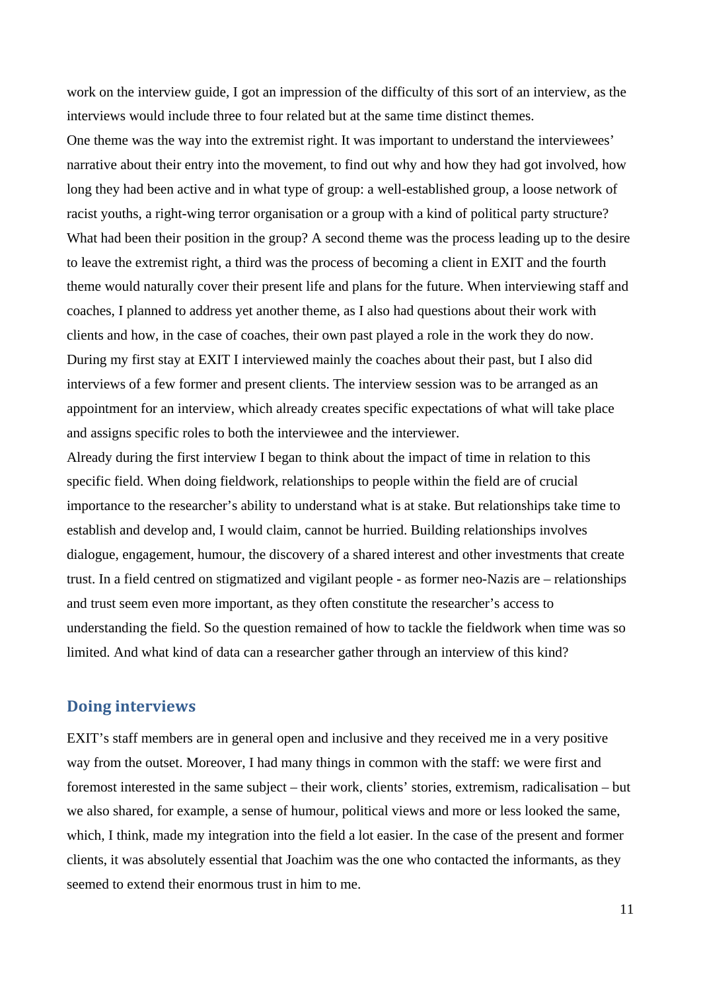work on the interview guide, I got an impression of the difficulty of this sort of an interview, as the interviews would include three to four related but at the same time distinct themes.

One theme was the way into the extremist right. It was important to understand the interviewees' narrative about their entry into the movement, to find out why and how they had got involved, how long they had been active and in what type of group: a well-established group, a loose network of racist youths, a right-wing terror organisation or a group with a kind of political party structure? What had been their position in the group? A second theme was the process leading up to the desire to leave the extremist right, a third was the process of becoming a client in EXIT and the fourth theme would naturally cover their present life and plans for the future. When interviewing staff and coaches, I planned to address yet another theme, as I also had questions about their work with clients and how, in the case of coaches, their own past played a role in the work they do now. During my first stay at EXIT I interviewed mainly the coaches about their past, but I also did interviews of a few former and present clients. The interview session was to be arranged as an appointment for an interview, which already creates specific expectations of what will take place and assigns specific roles to both the interviewee and the interviewer.

Already during the first interview I began to think about the impact of time in relation to this specific field. When doing fieldwork, relationships to people within the field are of crucial importance to the researcher's ability to understand what is at stake. But relationships take time to establish and develop and, I would claim, cannot be hurried. Building relationships involves dialogue, engagement, humour, the discovery of a shared interest and other investments that create trust. In a field centred on stigmatized and vigilant people - as former neo-Nazis are – relationships and trust seem even more important, as they often constitute the researcher's access to understanding the field. So the question remained of how to tackle the fieldwork when time was so limited. And what kind of data can a researcher gather through an interview of this kind?

## **Doing interviews**

EXIT's staff members are in general open and inclusive and they received me in a very positive way from the outset. Moreover, I had many things in common with the staff: we were first and foremost interested in the same subject – their work, clients' stories, extremism, radicalisation – but we also shared, for example, a sense of humour, political views and more or less looked the same, which, I think, made my integration into the field a lot easier. In the case of the present and former clients, it was absolutely essential that Joachim was the one who contacted the informants, as they seemed to extend their enormous trust in him to me.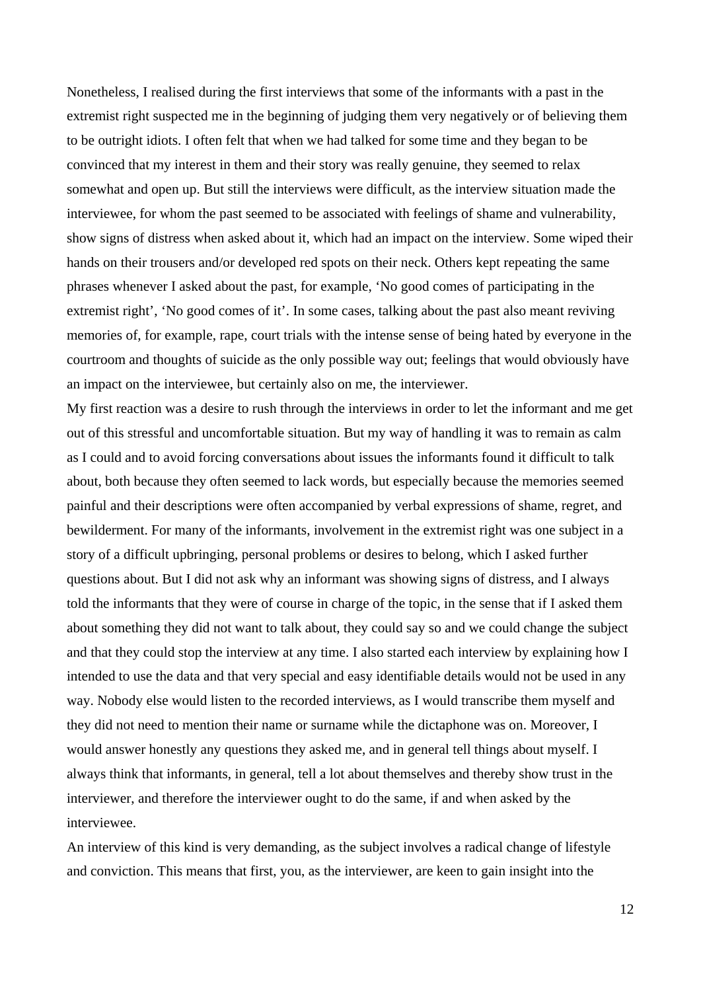Nonetheless, I realised during the first interviews that some of the informants with a past in the extremist right suspected me in the beginning of judging them very negatively or of believing them to be outright idiots. I often felt that when we had talked for some time and they began to be convinced that my interest in them and their story was really genuine, they seemed to relax somewhat and open up. But still the interviews were difficult, as the interview situation made the interviewee, for whom the past seemed to be associated with feelings of shame and vulnerability, show signs of distress when asked about it, which had an impact on the interview. Some wiped their hands on their trousers and/or developed red spots on their neck. Others kept repeating the same phrases whenever I asked about the past, for example, 'No good comes of participating in the extremist right', 'No good comes of it'. In some cases, talking about the past also meant reviving memories of, for example, rape, court trials with the intense sense of being hated by everyone in the courtroom and thoughts of suicide as the only possible way out; feelings that would obviously have an impact on the interviewee, but certainly also on me, the interviewer.

My first reaction was a desire to rush through the interviews in order to let the informant and me get out of this stressful and uncomfortable situation. But my way of handling it was to remain as calm as I could and to avoid forcing conversations about issues the informants found it difficult to talk about, both because they often seemed to lack words, but especially because the memories seemed painful and their descriptions were often accompanied by verbal expressions of shame, regret, and bewilderment. For many of the informants, involvement in the extremist right was one subject in a story of a difficult upbringing, personal problems or desires to belong, which I asked further questions about. But I did not ask why an informant was showing signs of distress, and I always told the informants that they were of course in charge of the topic, in the sense that if I asked them about something they did not want to talk about, they could say so and we could change the subject and that they could stop the interview at any time. I also started each interview by explaining how I intended to use the data and that very special and easy identifiable details would not be used in any way. Nobody else would listen to the recorded interviews, as I would transcribe them myself and they did not need to mention their name or surname while the dictaphone was on. Moreover, I would answer honestly any questions they asked me, and in general tell things about myself. I always think that informants, in general, tell a lot about themselves and thereby show trust in the interviewer, and therefore the interviewer ought to do the same, if and when asked by the interviewee.

An interview of this kind is very demanding, as the subject involves a radical change of lifestyle and conviction. This means that first, you, as the interviewer, are keen to gain insight into the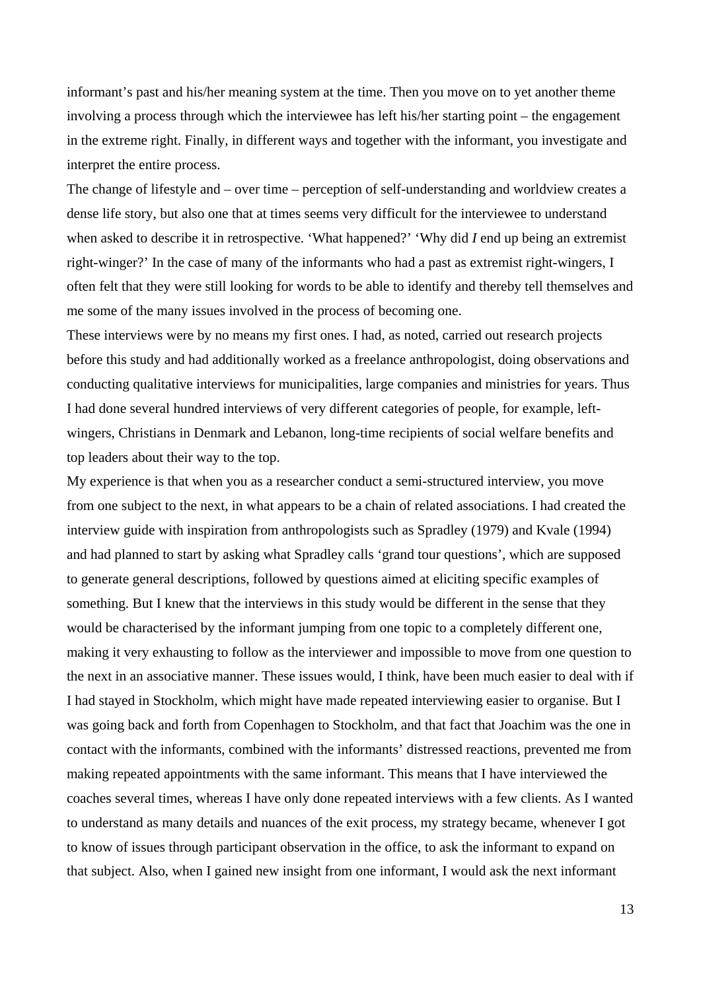informant's past and his/her meaning system at the time. Then you move on to yet another theme involving a process through which the interviewee has left his/her starting point – the engagement in the extreme right. Finally, in different ways and together with the informant, you investigate and interpret the entire process.

The change of lifestyle and – over time – perception of self-understanding and worldview creates a dense life story, but also one that at times seems very difficult for the interviewee to understand when asked to describe it in retrospective. 'What happened?' 'Why did *I* end up being an extremist right-winger?' In the case of many of the informants who had a past as extremist right-wingers, I often felt that they were still looking for words to be able to identify and thereby tell themselves and me some of the many issues involved in the process of becoming one.

These interviews were by no means my first ones. I had, as noted, carried out research projects before this study and had additionally worked as a freelance anthropologist, doing observations and conducting qualitative interviews for municipalities, large companies and ministries for years. Thus I had done several hundred interviews of very different categories of people, for example, leftwingers, Christians in Denmark and Lebanon, long-time recipients of social welfare benefits and top leaders about their way to the top.

My experience is that when you as a researcher conduct a semi-structured interview, you move from one subject to the next, in what appears to be a chain of related associations. I had created the interview guide with inspiration from anthropologists such as Spradley (1979) and Kvale (1994) and had planned to start by asking what Spradley calls 'grand tour questions', which are supposed to generate general descriptions, followed by questions aimed at eliciting specific examples of something. But I knew that the interviews in this study would be different in the sense that they would be characterised by the informant jumping from one topic to a completely different one, making it very exhausting to follow as the interviewer and impossible to move from one question to the next in an associative manner. These issues would, I think, have been much easier to deal with if I had stayed in Stockholm, which might have made repeated interviewing easier to organise. But I was going back and forth from Copenhagen to Stockholm, and that fact that Joachim was the one in contact with the informants, combined with the informants' distressed reactions, prevented me from making repeated appointments with the same informant. This means that I have interviewed the coaches several times, whereas I have only done repeated interviews with a few clients. As I wanted to understand as many details and nuances of the exit process, my strategy became, whenever I got to know of issues through participant observation in the office, to ask the informant to expand on that subject. Also, when I gained new insight from one informant, I would ask the next informant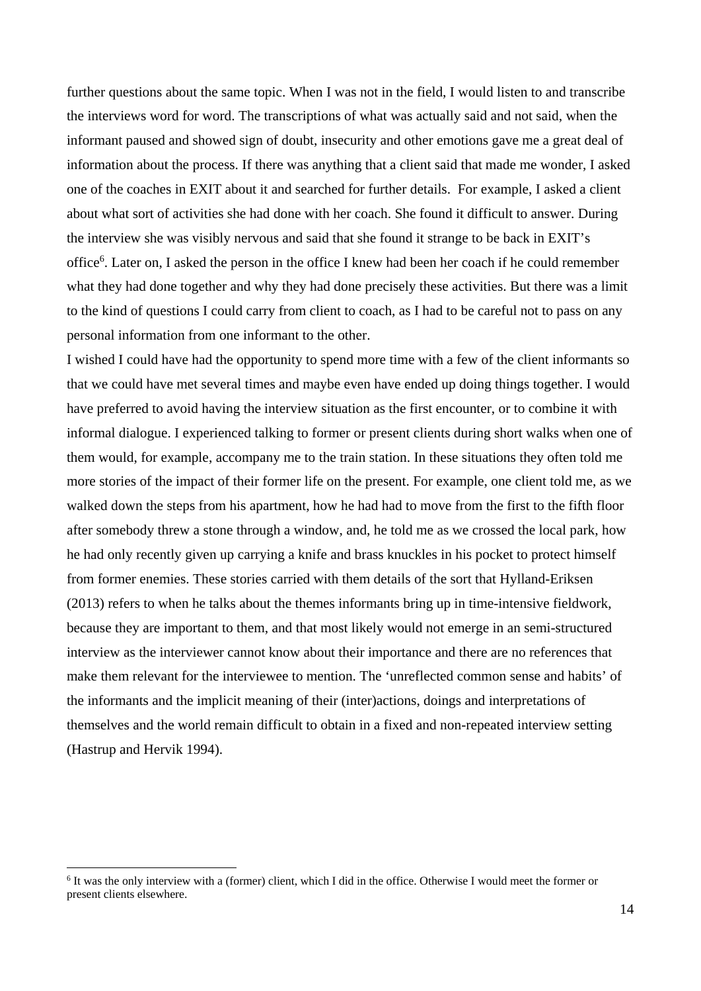further questions about the same topic. When I was not in the field, I would listen to and transcribe the interviews word for word. The transcriptions of what was actually said and not said, when the informant paused and showed sign of doubt, insecurity and other emotions gave me a great deal of information about the process. If there was anything that a client said that made me wonder, I asked one of the coaches in EXIT about it and searched for further details. For example, I asked a client about what sort of activities she had done with her coach. She found it difficult to answer. During the interview she was visibly nervous and said that she found it strange to be back in EXIT's office<sup>6</sup>. Later on, I asked the person in the office I knew had been her coach if he could remember what they had done together and why they had done precisely these activities. But there was a limit to the kind of questions I could carry from client to coach, as I had to be careful not to pass on any personal information from one informant to the other.

I wished I could have had the opportunity to spend more time with a few of the client informants so that we could have met several times and maybe even have ended up doing things together. I would have preferred to avoid having the interview situation as the first encounter, or to combine it with informal dialogue. I experienced talking to former or present clients during short walks when one of them would, for example, accompany me to the train station. In these situations they often told me more stories of the impact of their former life on the present. For example, one client told me, as we walked down the steps from his apartment, how he had had to move from the first to the fifth floor after somebody threw a stone through a window, and, he told me as we crossed the local park, how he had only recently given up carrying a knife and brass knuckles in his pocket to protect himself from former enemies. These stories carried with them details of the sort that Hylland-Eriksen (2013) refers to when he talks about the themes informants bring up in time-intensive fieldwork, because they are important to them, and that most likely would not emerge in an semi-structured interview as the interviewer cannot know about their importance and there are no references that make them relevant for the interviewee to mention. The 'unreflected common sense and habits' of the informants and the implicit meaning of their (inter)actions, doings and interpretations of themselves and the world remain difficult to obtain in a fixed and non-repeated interview setting (Hastrup and Hervik 1994).

 $\overline{a}$ 

<sup>&</sup>lt;sup>6</sup> It was the only interview with a (former) client, which I did in the office. Otherwise I would meet the former or present clients elsewhere.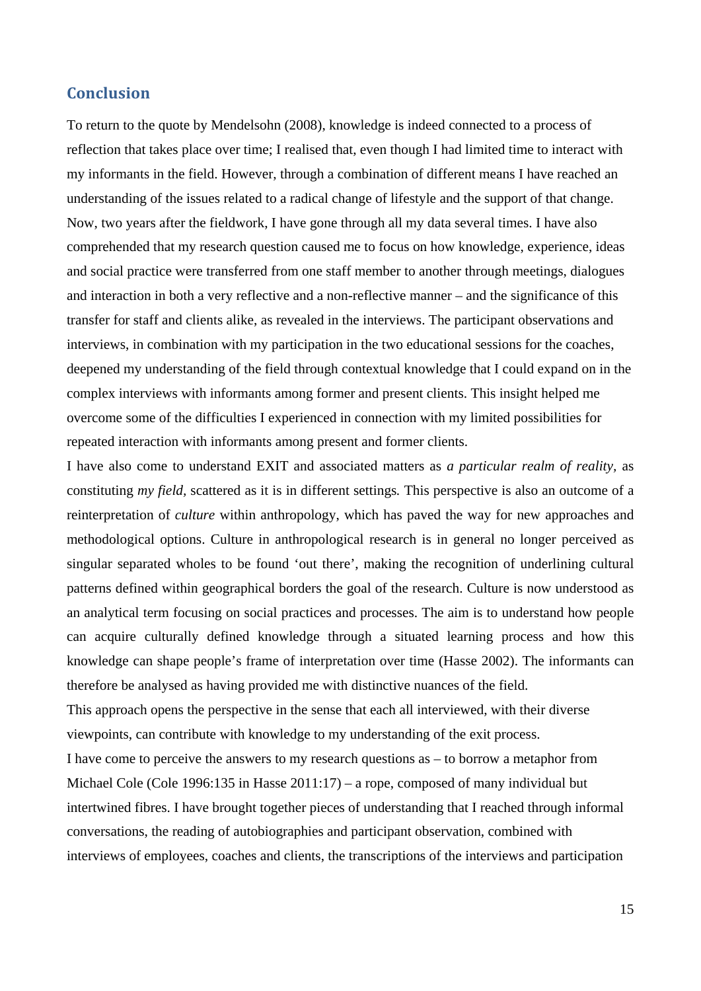# **Conclusion**

To return to the quote by Mendelsohn (2008), knowledge is indeed connected to a process of reflection that takes place over time; I realised that, even though I had limited time to interact with my informants in the field. However, through a combination of different means I have reached an understanding of the issues related to a radical change of lifestyle and the support of that change. Now, two years after the fieldwork, I have gone through all my data several times. I have also comprehended that my research question caused me to focus on how knowledge, experience, ideas and social practice were transferred from one staff member to another through meetings, dialogues and interaction in both a very reflective and a non-reflective manner – and the significance of this transfer for staff and clients alike, as revealed in the interviews. The participant observations and interviews, in combination with my participation in the two educational sessions for the coaches, deepened my understanding of the field through contextual knowledge that I could expand on in the complex interviews with informants among former and present clients. This insight helped me overcome some of the difficulties I experienced in connection with my limited possibilities for repeated interaction with informants among present and former clients.

I have also come to understand EXIT and associated matters as *a particular realm of reality,* as constituting *my field,* scattered as it is in different settings*.* This perspective is also an outcome of a reinterpretation of *culture* within anthropology, which has paved the way for new approaches and methodological options. Culture in anthropological research is in general no longer perceived as singular separated wholes to be found 'out there', making the recognition of underlining cultural patterns defined within geographical borders the goal of the research. Culture is now understood as an analytical term focusing on social practices and processes. The aim is to understand how people can acquire culturally defined knowledge through a situated learning process and how this knowledge can shape people's frame of interpretation over time (Hasse 2002). The informants can therefore be analysed as having provided me with distinctive nuances of the field.

This approach opens the perspective in the sense that each all interviewed, with their diverse viewpoints, can contribute with knowledge to my understanding of the exit process.

I have come to perceive the answers to my research questions as – to borrow a metaphor from Michael Cole (Cole 1996:135 in Hasse 2011:17) – a rope, composed of many individual but intertwined fibres. I have brought together pieces of understanding that I reached through informal conversations, the reading of autobiographies and participant observation, combined with interviews of employees, coaches and clients, the transcriptions of the interviews and participation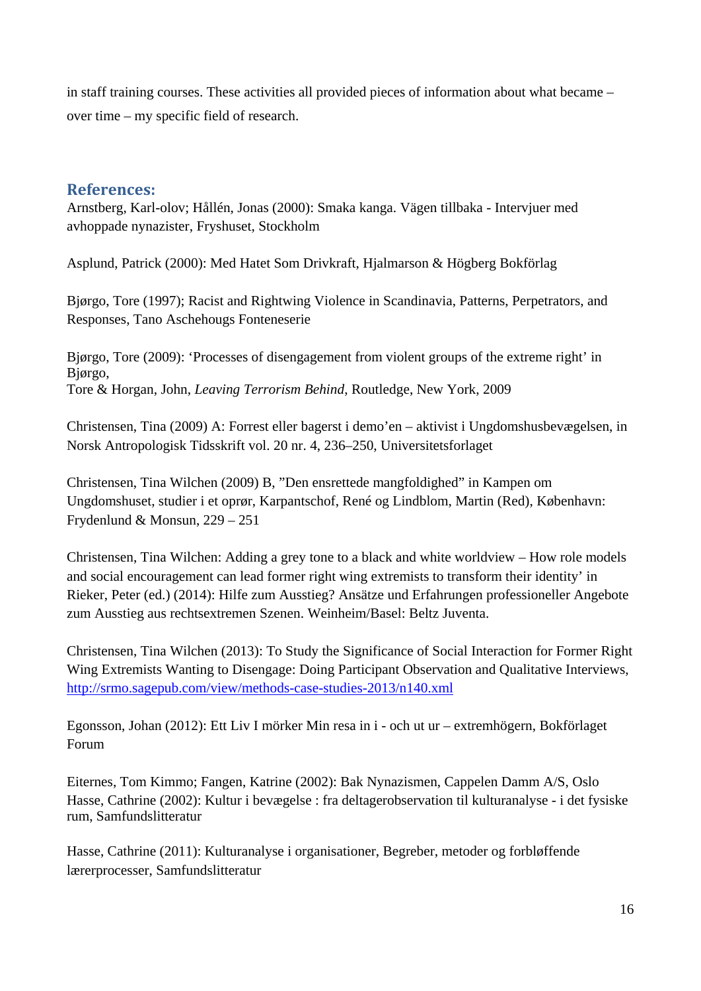in staff training courses. These activities all provided pieces of information about what became – over time – my specific field of research.

# **References:**

Arnstberg, Karl-olov; Hållén, Jonas (2000): Smaka kanga. Vägen tillbaka - Intervjuer med avhoppade nynazister, Fryshuset, Stockholm

Asplund, Patrick (2000): Med Hatet Som Drivkraft, Hjalmarson & Högberg Bokförlag

Bjørgo, Tore (1997); Racist and Rightwing Violence in Scandinavia, Patterns, Perpetrators, and Responses, Tano Aschehougs Fonteneserie

Bjørgo, Tore (2009): 'Processes of disengagement from violent groups of the extreme right' in Bjørgo, Tore & Horgan, John, *Leaving Terrorism Behind*, Routledge, New York, 2009

Christensen, Tina (2009) A: Forrest eller bagerst i demo'en – aktivist i Ungdomshusbevægelsen, in Norsk Antropologisk Tidsskrift vol. 20 nr. 4, 236–250, Universitetsforlaget

Christensen, Tina Wilchen (2009) B, "Den ensrettede mangfoldighed" in Kampen om Ungdomshuset, studier i et oprør, Karpantschof, René og Lindblom, Martin (Red), København: Frydenlund & Monsun, 229 – 251

Christensen, Tina Wilchen: Adding a grey tone to a black and white worldview – How role models and social encouragement can lead former right wing extremists to transform their identity' in Rieker, Peter (ed.) (2014): Hilfe zum Ausstieg? Ansätze und Erfahrungen professioneller Angebote zum Ausstieg aus rechtsextremen Szenen. Weinheim/Basel: Beltz Juventa.

Christensen, Tina Wilchen (2013): To Study the Significance of Social Interaction for Former Right Wing Extremists Wanting to Disengage: Doing Participant Observation and Qualitative Interviews, http://srmo.sagepub.com/view/methods-case-studies-2013/n140.xml

Egonsson, Johan (2012): Ett Liv I mörker Min resa in i - och ut ur – extremhögern, Bokförlaget Forum

Eiternes, Tom Kimmo; Fangen, Katrine (2002): Bak Nynazismen, Cappelen Damm A/S, Oslo Hasse, Cathrine (2002): Kultur i bevægelse : fra deltagerobservation til kulturanalyse - i det fysiske rum, Samfundslitteratur

Hasse, Cathrine (2011): Kulturanalyse i organisationer, Begreber, metoder og forbløffende lærerprocesser, Samfundslitteratur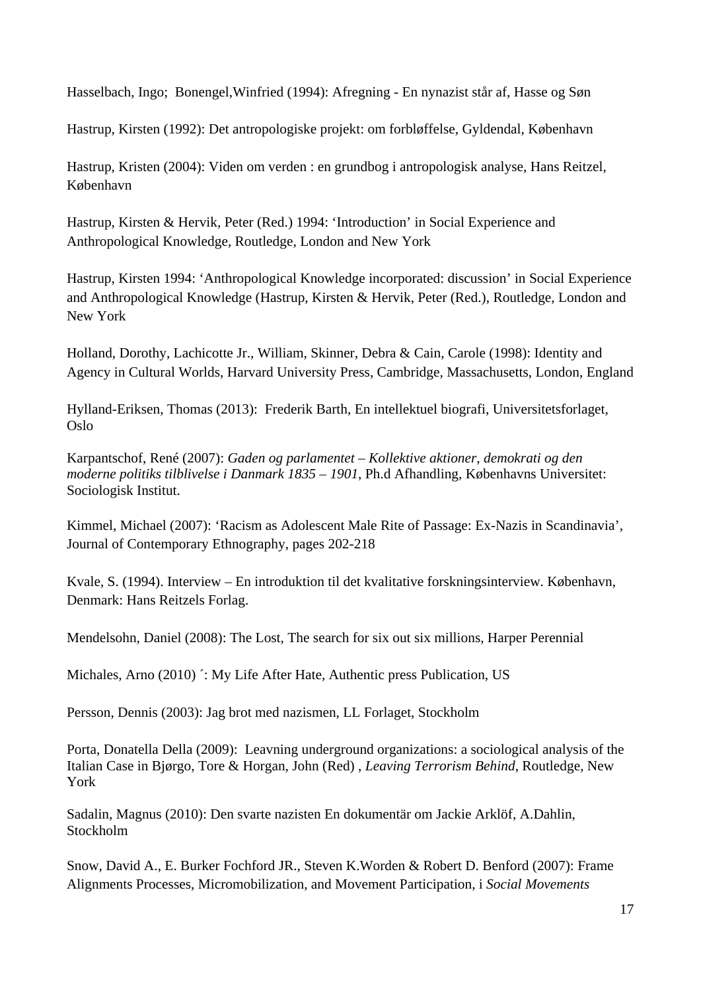Hasselbach, Ingo; Bonengel,Winfried (1994): Afregning - En nynazist står af, Hasse og Søn

Hastrup, Kirsten (1992): Det antropologiske projekt: om forbløffelse, Gyldendal, København

Hastrup, Kristen (2004): Viden om verden : en grundbog i antropologisk analyse, Hans Reitzel, København

Hastrup, Kirsten & Hervik, Peter (Red.) 1994: 'Introduction' in Social Experience and Anthropological Knowledge, Routledge, London and New York

Hastrup, Kirsten 1994: 'Anthropological Knowledge incorporated: discussion' in Social Experience and Anthropological Knowledge (Hastrup, Kirsten & Hervik, Peter (Red.), Routledge, London and New York

Holland, Dorothy, Lachicotte Jr., William, Skinner, Debra & Cain, Carole (1998): Identity and Agency in Cultural Worlds, Harvard University Press, Cambridge, Massachusetts, London, England

Hylland-Eriksen, Thomas (2013): Frederik Barth, En intellektuel biografi, Universitetsforlaget, Oslo

Karpantschof, René (2007): *Gaden og parlamentet – Kollektive aktioner, demokrati og den moderne politiks tilblivelse i Danmark 1835 – 1901*, Ph.d Afhandling, Københavns Universitet: Sociologisk Institut.

Kimmel, Michael (2007): 'Racism as Adolescent Male Rite of Passage: Ex-Nazis in Scandinavia', Journal of Contemporary Ethnography, pages 202-218

Kvale, S. (1994). Interview – En introduktion til det kvalitative forskningsinterview. København, Denmark: Hans Reitzels Forlag.

Mendelsohn, Daniel (2008): The Lost, The search for six out six millions, Harper Perennial

Michales, Arno (2010) ´: My Life After Hate, Authentic press Publication, US

Persson, Dennis (2003): Jag brot med nazismen, LL Forlaget, Stockholm

Porta, Donatella Della (2009): Leavning underground organizations: a sociological analysis of the Italian Case in Bjørgo, Tore & Horgan, John (Red) , *Leaving Terrorism Behind*, Routledge, New York

Sadalin, Magnus (2010): Den svarte nazisten En dokumentär om Jackie Arklöf, A.Dahlin, Stockholm

Snow, David A., E. Burker Fochford JR., Steven K.Worden & Robert D. Benford (2007): Frame Alignments Processes, Micromobilization, and Movement Participation, i *Social Movements*